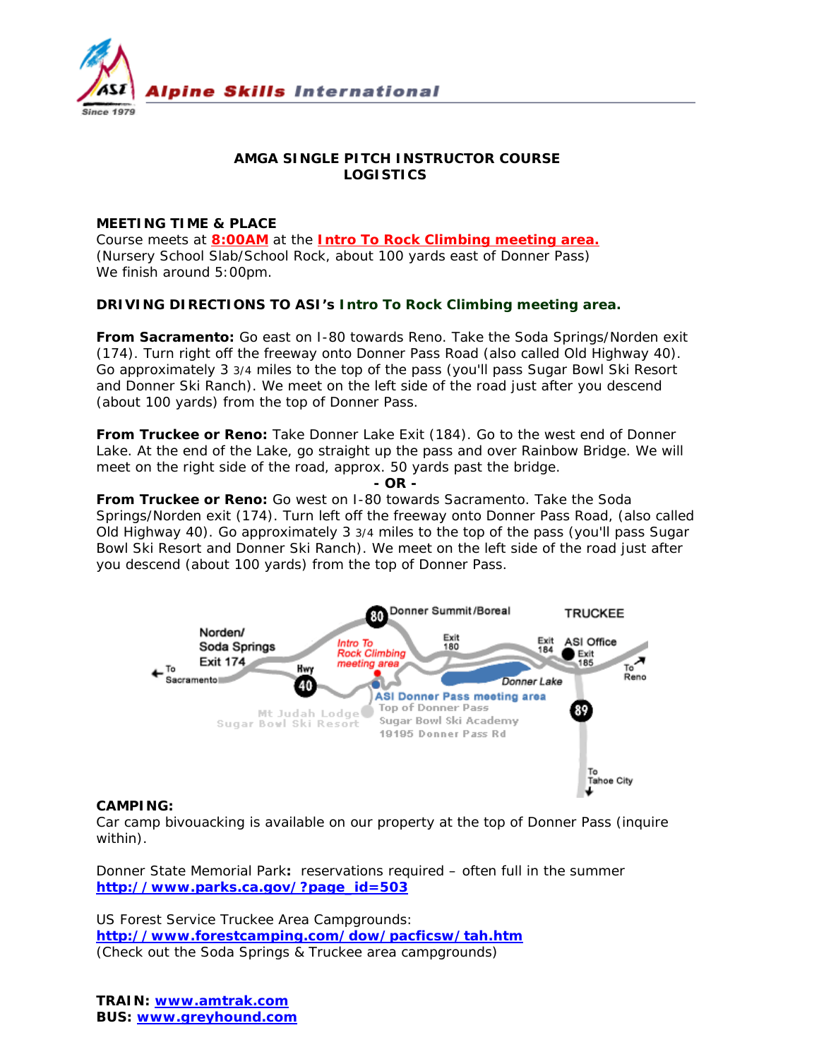

# **AMGA SINGLE PITCH INSTRUCTOR COURSE LOGISTICS**

**MEETING TIME & PLACE** Course meets at **8:00AM** at the **Intro To Rock Climbing meeting area.** (Nursery School Slab/School Rock, about 100 yards east of Donner Pass) We finish around 5:00pm.

# **DRIVING DIRECTIONS TO ASI's Intro To Rock Climbing meeting area.**

**From Sacramento:** Go east on I-80 towards Reno. Take the Soda Springs/Norden exit (174). Turn right off the freeway onto Donner Pass Road (also called Old Highway 40). Go approximately 3 3/4 miles to the top of the pass (you'll pass Sugar Bowl Ski Resort and Donner Ski Ranch). We meet on the left side of the road just after you descend (about 100 yards) from the top of Donner Pass.

**From Truckee or Reno:** Take Donner Lake Exit (184). Go to the west end of Donner Lake. At the end of the Lake, go straight up the pass and over Rainbow Bridge. We will meet on the right side of the road, approx. 50 yards past the bridge.

*- OR -*

**From Truckee or Reno:** Go west on I-80 towards Sacramento. Take the Soda Springs/Norden exit (174). Turn left off the freeway onto Donner Pass Road, (also called Old Highway 40). Go approximately 3 3/4 miles to the top of the pass (you'll pass Sugar Bowl Ski Resort and Donner Ski Ranch). We meet on the left side of the road just after you descend (about 100 yards) from the top of Donner Pass.



## **CAMPING:**

Car camp bivouacking is available on our property at the top of Donner Pass (inquire within).

Donner State Memorial Park**:** reservations required – often full in the summer **http://www.parks.ca.gov/?page\_id=503**

US Forest Service Truckee Area Campgrounds: **http://www.forestcamping.com/dow/pacficsw/tah.htm** (Check out the Soda Springs & Truckee area campgrounds)